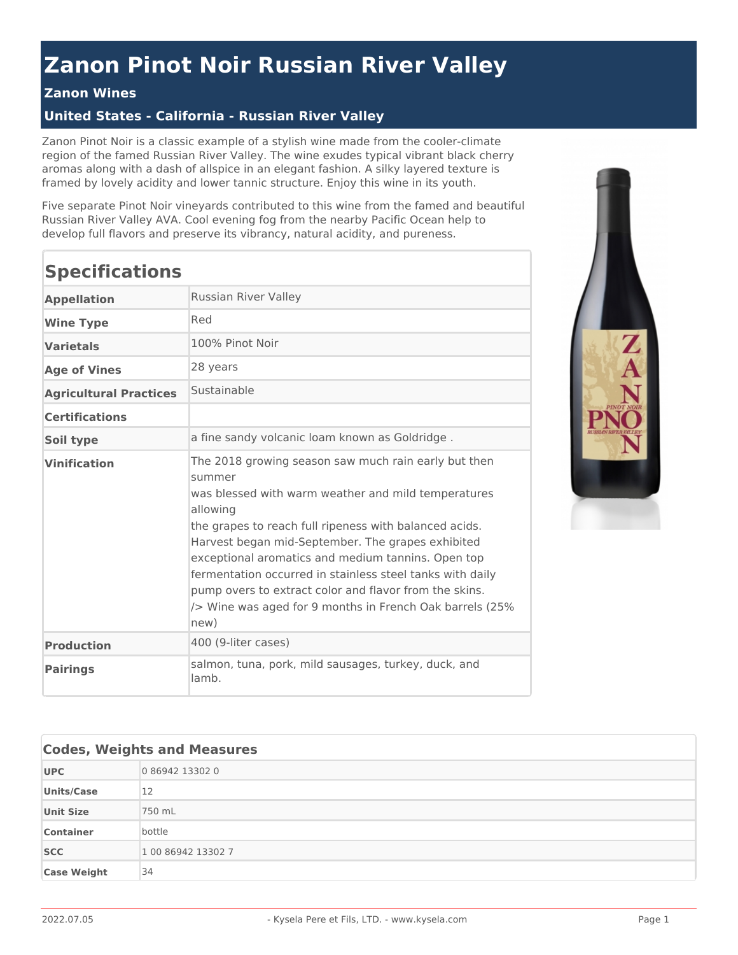## **Zanon Pinot Noir Russian River Valley**

## **Zanon Wines**

## **United States - California - Russian River Valley**

Zanon Pinot Noir is a classic example of a stylish wine made from the cooler-climate region of the famed Russian River Valley. The wine exudes typical vibrant black cherry aromas along with a dash of allspice in an elegant fashion. A silky layered texture is framed by lovely acidity and lower tannic structure. Enjoy this wine in its youth.

Five separate Pinot Noir vineyards contributed to this wine from the famed and beautiful Russian River Valley AVA. Cool evening fog from the nearby Pacific Ocean help to develop full flavors and preserve its vibrancy, natural acidity, and pureness.

| <b>Specifications</b>         |                                                                                                                                                                                                                                                                                                                                                                                                                                                                                                    |
|-------------------------------|----------------------------------------------------------------------------------------------------------------------------------------------------------------------------------------------------------------------------------------------------------------------------------------------------------------------------------------------------------------------------------------------------------------------------------------------------------------------------------------------------|
| <b>Appellation</b>            | Russian River Valley                                                                                                                                                                                                                                                                                                                                                                                                                                                                               |
| <b>Wine Type</b>              | Red                                                                                                                                                                                                                                                                                                                                                                                                                                                                                                |
| Varietals                     | 100% Pinot Noir                                                                                                                                                                                                                                                                                                                                                                                                                                                                                    |
| <b>Age of Vines</b>           | 28 years                                                                                                                                                                                                                                                                                                                                                                                                                                                                                           |
| <b>Agricultural Practices</b> | Sustainable                                                                                                                                                                                                                                                                                                                                                                                                                                                                                        |
| <b>Certifications</b>         |                                                                                                                                                                                                                                                                                                                                                                                                                                                                                                    |
| Soil type                     | a fine sandy volcanic loam known as Goldridge.                                                                                                                                                                                                                                                                                                                                                                                                                                                     |
| <b>Vinification</b>           | The 2018 growing season saw much rain early but then<br>summer<br>was blessed with warm weather and mild temperatures<br>allowing<br>the grapes to reach full ripeness with balanced acids.<br>Harvest began mid-September. The grapes exhibited<br>exceptional aromatics and medium tannins. Open top<br>fermentation occurred in stainless steel tanks with daily<br>pump overs to extract color and flavor from the skins.<br>/> Wine was aged for 9 months in French Oak barrels (25%)<br>new) |
| <b>Production</b>             | 400 (9-liter cases)                                                                                                                                                                                                                                                                                                                                                                                                                                                                                |
| <b>Pairings</b>               | salmon, tuna, pork, mild sausages, turkey, duck, and<br>lamb.                                                                                                                                                                                                                                                                                                                                                                                                                                      |



| <b>Codes, Weights and Measures</b> |                    |
|------------------------------------|--------------------|
| <b>UPC</b>                         | 0 86942 13302 0    |
| <b>Units/Case</b>                  | 12                 |
| <b>Unit Size</b>                   | 750 mL             |
| <b>Container</b>                   | bottle             |
| <b>SCC</b>                         | 1 00 86942 13302 7 |
| <b>Case Weight</b>                 | 34                 |